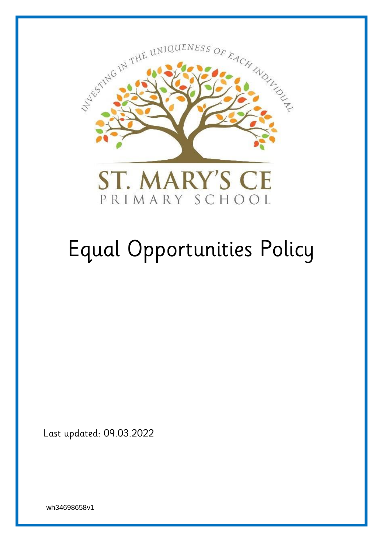

# Equal Opportunities Policy

Last updated: 09.03.2022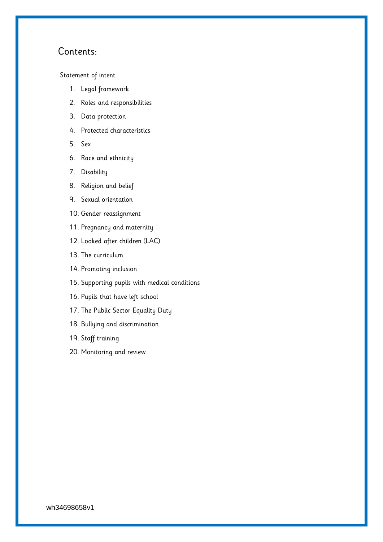# Contents:

[Statement of intent](#page-2-0)

- 1. [Legal framework](#page-3-0)
- 2. [Roles and responsibilities](#page-3-1)
- 3. [Data protection](#page-4-0)
- 4. [Protected characteristics](#page-4-1)
- 5. [Sex](#page-5-0)
- 6. [Race and ethnicity](#page-6-0)
- 7. [Disability](#page-6-1)
- 8. [Religion and belief](#page-7-0)
- 9. [Sexual orientation](#page-7-1)
- 10. [Gender reassignment](#page-7-2)
- 11. [Pregnancy and maternity](#page-8-0)
- 12. [Looked after children](#page-8-1) (LAC)
- 13. [The curriculum](#page-8-2)
- 14. [Promoting inclusion](#page-9-0)
- 15. [Supporting pupils with medical conditions](#page-9-1)
- 16. [Pupils that have left school](#page-9-2)
- 17. [The Public Sector Equality Duty](#page-10-0)
- 18. [Bullying and discrimination](#page-10-1)
- 19. [Staff training](#page-10-2)
- 20. [Monitoring and review](#page-11-0)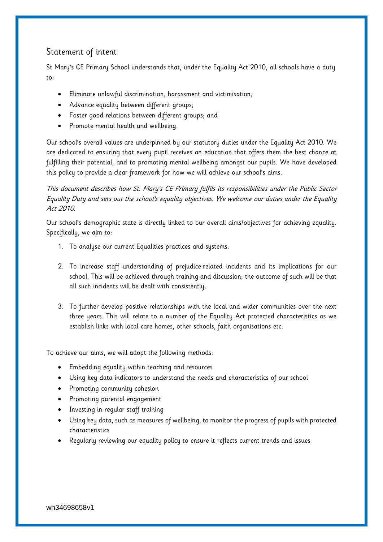# <span id="page-2-0"></span>Statement of intent

St Mary's CE Primary School understands that, under the Equality Act 2010, all schools have a duty to:

- Eliminate unlawful discrimination, harassment and victimisation;
- Advance equality between different groups;
- Foster good relations between different groups; and
- Promote mental health and wellbeing.

Our school's overall values are underpinned by our statutory duties under the Equality Act 2010. We are dedicated to ensuring that every pupil receives an education that offers them the best chance at fulfilling their potential, and to promoting mental wellbeing amongst our pupils. We have developed this policy to provide a clear framework for how we will achieve our school's aims.

This document describes how St. Mary's CE Primary fulfils its responsibilities under the Public Sector Equality Duty and sets out the school's equality objectives. We welcome our duties under the Equality Act 2010.

Our school's demographic state is directly linked to our overall aims/objectives for achieving equality. Specifically, we aim to:

- 1. To analyse our current Equalities practices and systems.
- 2. To increase staff understanding of prejudice-related incidents and its implications for our school. This will be achieved through training and discussion; the outcome of such will be that all such incidents will be dealt with consistently.
- 3. To further develop positive relationships with the local and wider communities over the next three years. This will relate to a number of the Equality Act protected characteristics as we establish links with local care homes, other schools, faith organisations etc.

To achieve our aims, we will adopt the following methods:

- Embedding equality within teaching and resources
- Using key data indicators to understand the needs and characteristics of our school
- Promoting community cohesion
- Promoting parental engagement
- Investing in regular staff training
- Using key data, such as measures of wellbeing, to monitor the progress of pupils with protected characteristics
- Regularly reviewing our equality policy to ensure it reflects current trends and issues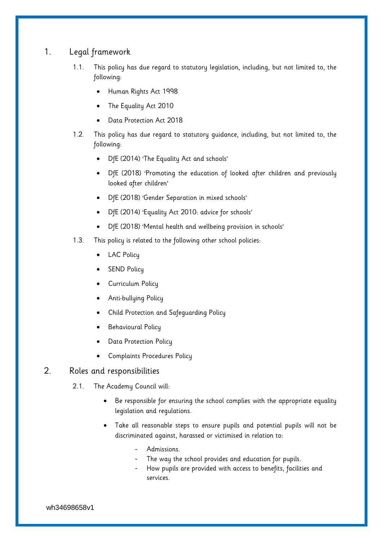## <span id="page-3-0"></span>1. Legal framework

- 1.1. This policy has due regard to statutory legislation, including, but not limited to, the following:
	- Human Rights Act 1998
	- The Equality Act 2010
	- Data Protection Act 2018
- 1.2. This policy has due regard to statutory guidance, including, but not limited to, the following:
	- DfE (2014) 'The Equality Act and schools'
	- DfE (2018) 'Promoting the education of looked after children and previously looked after children'
	- DfE (2018) 'Gender Separation in mixed schools'
	- DfE (2014) 'Equality Act 2010: advice for schools'
	- DfE (2018) 'Mental health and wellbeing provision in schools'
- 1.3. This policy is related to the following other school policies:
	- LAC Policy
	- SEND Policy
	- Curriculum Policy
	- Anti-bullying Policy
	- Child Protection and Safeguarding Policy
	- Behavioural Policy
	- Data Protection Policy
	- Complaints Procedures Policy

## <span id="page-3-1"></span>2. Roles and responsibilities

- 2.1. The Academy Council will:
	- Be responsible for ensuring the school complies with the appropriate equality legislation and regulations.
	- Take all reasonable steps to ensure pupils and potential pupils will not be discriminated against, harassed or victimised in relation to:
		- Admissions.
		- The way the school provides and education for pupils.
		- How pupils are provided with access to benefits, facilities and services.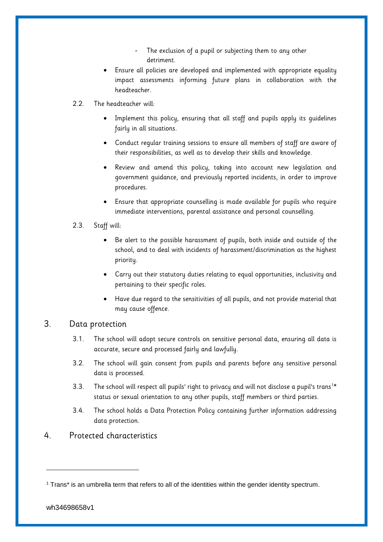- The exclusion of a pupil or subjecting them to any other detriment.
- Ensure all policies are developed and implemented with appropriate equality impact assessments informing future plans in collaboration with the headteacher.
- 2.2. The headteacher will:
	- Implement this policy, ensuring that all staff and pupils apply its guidelines fairly in all situations.
	- Conduct regular training sessions to ensure all members of staff are aware of their responsibilities, as well as to develop their skills and knowledge.
	- Review and amend this policy, taking into account new legislation and government guidance, and previously reported incidents, in order to improve procedures.
	- Ensure that appropriate counselling is made available for pupils who require immediate interventions, parental assistance and personal counselling.
- 2.3. Staff will:
	- Be alert to the possible harassment of pupils, both inside and outside of the school, and to deal with incidents of harassment/discrimination as the highest priority.
	- Carry out their statutory duties relating to equal opportunities, inclusivity and pertaining to their specific roles.
	- Have due regard to the sensitivities of all pupils, and not provide material that may cause offence.

## <span id="page-4-0"></span>3. Data protection

- 3.1. The school will adopt secure controls on sensitive personal data, ensuring all data is accurate, secure and processed fairly and lawfully.
- 3.2. The school will gain consent from pupils and parents before any sensitive personal data is processed.
- 3.3. The school will respect all pupils' right to privacy and will not disclose a pupil's trans<sup>1\*</sup> status or sexual orientation to any other pupils, staff members or third parties.
- 3.4. The school holds a Data Protection Policy containing further information addressing data protection.

## <span id="page-4-1"></span>4. Protected characteristics

-

<sup>1</sup> Trans\* is an umbrella term that refers to all of the identities within the gender identity spectrum.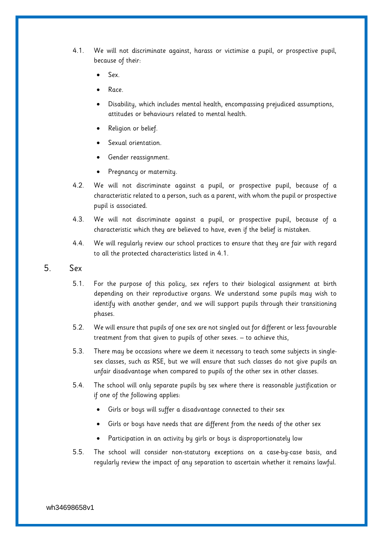- 4.1. We will not discriminate against, harass or victimise a pupil, or prospective pupil, because of their:
	- Sex.
	- Race.
	- Disability, which includes mental health, encompassing prejudiced assumptions, attitudes or behaviours related to mental health.
	- Religion or belief.
	- Sexual orientation.
	- Gender reassignment.
	- Pregnancy or maternity.
- 4.2. We will not discriminate against a pupil, or prospective pupil, because of a characteristic related to a person, such as a parent, with whom the pupil or prospective pupil is associated.
- 4.3. We will not discriminate against a pupil, or prospective pupil, because of a characteristic which they are believed to have, even if the belief is mistaken.
- 4.4. We will regularly review our school practices to ensure that they are fair with regard to all the protected characteristics listed in 4.1.
- <span id="page-5-0"></span>5. Sex
	- 5.1. For the purpose of this policy, sex refers to their biological assignment at birth depending on their reproductive organs. We understand some pupils may wish to identify with another gender, and we will support pupils through their transitioning phases.
	- 5.2. We will ensure that pupils of one sex are not singled out for different or less favourable treatment from that given to pupils of other sexes. – to achieve this,
	- 5.3. There may be occasions where we deem it necessary to teach some subjects in singlesex classes, such as RSE, but we will ensure that such classes do not give pupils an unfair disadvantage when compared to pupils of the other sex in other classes.
	- 5.4. The school will only separate pupils by sex where there is reasonable justification or if one of the following applies:
		- Girls or boys will suffer a disadvantage connected to their sex
		- Girls or boys have needs that are different from the needs of the other sex
		- Participation in an activity by girls or boys is disproportionately low
	- 5.5. The school will consider non-statutory exceptions on a case-by-case basis, and regularly review the impact of any separation to ascertain whether it remains lawful.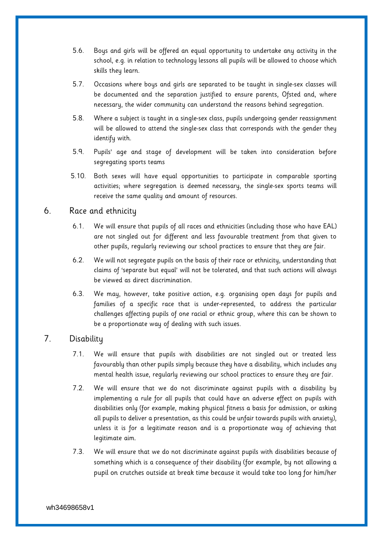- 5.6. Boys and girls will be offered an equal opportunity to undertake any activity in the school, e.g. in relation to technology lessons all pupils will be allowed to choose which skills they learn.
- 5.7. Occasions where boys and girls are separated to be taught in single-sex classes will be documented and the separation justified to ensure parents, Ofsted and, where necessary, the wider community can understand the reasons behind segregation.
- 5.8. Where a subject is taught in a single-sex class, pupils undergoing gender reassignment will be allowed to attend the single-sex class that corresponds with the gender they identify with.
- 5.9. Pupils' age and stage of development will be taken into consideration before segregating sports teams
- 5.10. Both sexes will have equal opportunities to participate in comparable sporting activities; where segregation is deemed necessary, the single-sex sports teams will receive the same quality and amount of resources.

## <span id="page-6-0"></span>6. Race and ethnicity

- 6.1. We will ensure that pupils of all races and ethnicities (including those who have EAL) are not singled out for different and less favourable treatment from that given to other pupils, regularly reviewing our school practices to ensure that they are fair.
- 6.2. We will not segregate pupils on the basis of their race or ethnicity, understanding that claims of 'separate but equal' will not be tolerated, and that such actions will always be viewed as direct discrimination.
- 6.3. We may, however, take positive action, e.g. organising open days for pupils and families of a specific race that is under-represented, to address the particular challenges affecting pupils of one racial or ethnic group, where this can be shown to be a proportionate way of dealing with such issues.

## <span id="page-6-1"></span>7. Disability

- 7.1. We will ensure that pupils with disabilities are not singled out or treated less favourably than other pupils simply because they have a disability, which includes any mental health issue, regularly reviewing our school practices to ensure they are fair.
- 7.2. We will ensure that we do not discriminate against pupils with a disability by implementing a rule for all pupils that could have an adverse effect on pupils with disabilities only (for example, making physical fitness a basis for admission, or asking all pupils to deliver a presentation, as this could be unfair towards pupils with anxiety), unless it is for a legitimate reason and is a proportionate way of achieving that legitimate aim.
- 7.3. We will ensure that we do not discriminate against pupils with disabilities because of something which is a consequence of their disability (for example, by not allowing a pupil on crutches outside at break time because it would take too long for him/her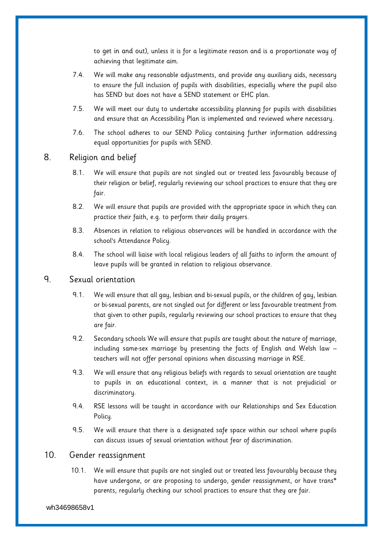to get in and out), unless it is for a legitimate reason and is a proportionate way of achieving that legitimate aim.

- 7.4. We will make any reasonable adjustments, and provide any auxiliary aids, necessary to ensure the full inclusion of pupils with disabilities, especially where the pupil also has SEND but does not have a SEND statement or EHC plan.
- 7.5. We will meet our duty to undertake accessibility planning for pupils with disabilities and ensure that an Accessibility Plan is implemented and reviewed where necessary.
- 7.6. The school adheres to our SEND Policy containing further information addressing equal opportunities for pupils with SEND.

## <span id="page-7-0"></span>8. Religion and belief

- 8.1. We will ensure that pupils are not singled out or treated less favourably because of their religion or belief, regularly reviewing our school practices to ensure that they are fair.
- 8.2. We will ensure that pupils are provided with the appropriate space in which they can practice their faith, e.g. to perform their daily prayers.
- 8.3. Absences in relation to religious observances will be handled in accordance with the school's Attendance Policy.
- 8.4. The school will liaise with local religious leaders of all faiths to inform the amount of leave pupils will be granted in relation to religious observance.

## <span id="page-7-1"></span>9. Sexual orientation

- 9.1. We will ensure that all gay, lesbian and bi-sexual pupils, or the children of gay, lesbian or bi-sexual parents, are not singled out for different or less favourable treatment from that given to other pupils, regularly reviewing our school practices to ensure that they are fair.
- 9.2. Secondary schools We will ensure that pupils are taught about the nature of marriage, including same-sex marriage by presenting the facts of English and Welsh law – teachers will not offer personal opinions when discussing marriage in RSE.
- 9.3. We will ensure that any religious beliefs with regards to sexual orientation are taught to pupils in an educational context, in a manner that is not prejudicial or discriminatory.
- 9.4. RSE lessons will be taught in accordance with our Relationships and Sex Education Policy.
- 9.5. We will ensure that there is a designated safe space within our school where pupils can discuss issues of sexual orientation without fear of discrimination.

## <span id="page-7-2"></span>10. Gender reassignment

10.1. We will ensure that pupils are not singled out or treated less favourably because they have undergone, or are proposing to undergo, gender reassignment, or have trans\* parents, regularly checking our school practices to ensure that they are fair.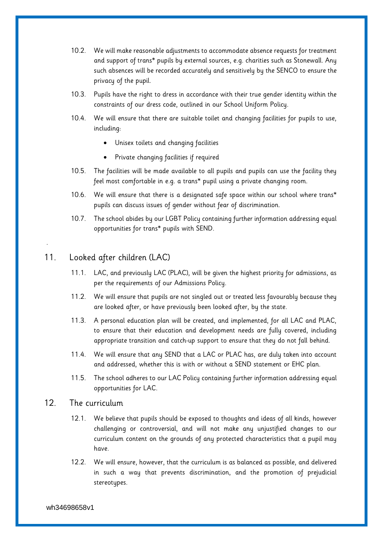- 10.2. We will make reasonable adjustments to accommodate absence requests for treatment and support of trans\* pupils by external sources, e.g. charities such as Stonewall. Any such absences will be recorded accurately and sensitively by the SENCO to ensure the privacy of the pupil.
- 10.3. Pupils have the right to dress in accordance with their true gender identity within the constraints of our dress code, outlined in our School Uniform Policy.
- 10.4. We will ensure that there are suitable toilet and changing facilities for pupils to use, including:
	- Unisex toilets and changing facilities
	- Private changing facilities if required
- 10.5. The facilities will be made available to all pupils and pupils can use the facility they feel most comfortable in e.g. a trans\* pupil using a private changing room.
- 10.6. We will ensure that there is a designated safe space within our school where trans\* pupils can discuss issues of gender without fear of discrimination.
- 10.7. The school abides by our LGBT Policy containing further information addressing equal opportunities for trans\* pupils with SEND.

## <span id="page-8-1"></span>11. Looked after children (LAC)

<span id="page-8-0"></span>.

- 11.1. LAC, and previously LAC (PLAC), will be given the highest priority for admissions, as per the requirements of our Admissions Policy.
- 11.2. We will ensure that pupils are not singled out or treated less favourably because they are looked after, or have previously been looked after, by the state.
- 11.3. A personal education plan will be created, and implemented, for all LAC and PLAC, to ensure that their education and development needs are fully covered, including appropriate transition and catch-up support to ensure that they do not fall behind.
- 11.4. We will ensure that any SEND that a LAC or PLAC has, are duly taken into account and addressed, whether this is with or without a SEND statement or EHC plan.
- 11.5. The school adheres to our LAC Policy containing further information addressing equal opportunities for LAC.

### <span id="page-8-2"></span>12. The curriculum

- 12.1. We believe that pupils should be exposed to thoughts and ideas of all kinds, however challenging or controversial, and will not make any unjustified changes to our curriculum content on the grounds of any protected characteristics that a pupil may have.
- 12.2. We will ensure, however, that the curriculum is as balanced as possible, and delivered in such a way that prevents discrimination, and the promotion of prejudicial stereotypes.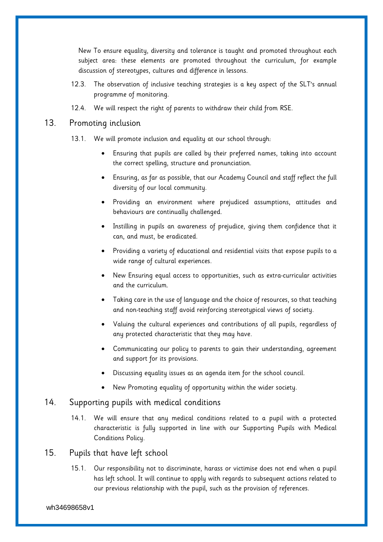New To ensure equality, diversity and tolerance is taught and promoted throughout each subject area: these elements are promoted throughout the curriculum, for example discussion of stereotypes, cultures and difference in lessons.

- 12.3. The observation of inclusive teaching strategies is a key aspect of the SLT's annual programme of monitoring.
- 12.4. We will respect the right of parents to withdraw their child from RSE.

## <span id="page-9-0"></span>13. Promoting inclusion

- 13.1. We will promote inclusion and equality at our school through:
	- Ensuring that pupils are called by their preferred names, taking into account the correct spelling, structure and pronunciation.
	- Ensuring, as far as possible, that our Academy Council and staff reflect the full diversity of our local community.
	- Providing an environment where prejudiced assumptions, attitudes and behaviours are continually challenged.
	- Instilling in pupils an awareness of prejudice, giving them confidence that it can, and must, be eradicated.
	- Providing a variety of educational and residential visits that expose pupils to a wide range of cultural experiences.
	- New Ensuring equal access to opportunities, such as extra-curricular activities and the curriculum.
	- Taking care in the use of language and the choice of resources, so that teaching and non-teaching staff avoid reinforcing stereotypical views of society.
	- Valuing the cultural experiences and contributions of all pupils, regardless of any protected characteristic that they may have.
	- Communicating our policy to parents to gain their understanding, agreement and support for its provisions.
	- Discussing equality issues as an agenda item for the school council.
	- New Promoting equality of opportunity within the wider society.

## <span id="page-9-1"></span>14. Supporting pupils with medical conditions

- 14.1. We will ensure that any medical conditions related to a pupil with a protected characteristic is fully supported in line with our Supporting Pupils with Medical Conditions Policy.
- <span id="page-9-2"></span>15. Pupils that have left school
	- 15.1. Our responsibility not to discriminate, harass or victimise does not end when a pupil has left school. It will continue to apply with regards to subsequent actions related to our previous relationship with the pupil, such as the provision of references.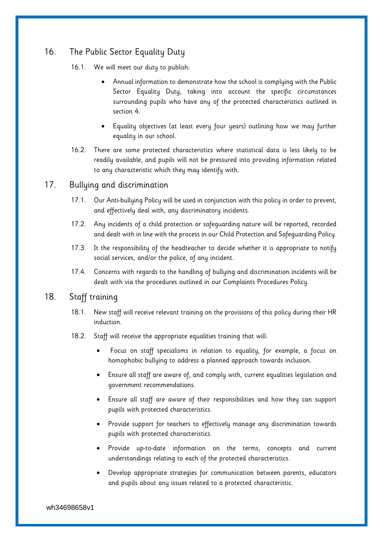# <span id="page-10-0"></span>16. The Public Sector Equality Duty

16.1. We will meet our duty to publish:

- Annual information to demonstrate how the school is complying with the Public Sector Equality Duty, taking into account the specific circumstances surrounding pupils who have any of the protected characteristics outlined in [section 4.](#page-4-1)
- Equality objectives (at least every four years) outlining how we may further equality in our school.
- 16.2. There are some protected characteristics where statistical data is less likely to be readily available, and pupils will not be pressured into providing information related to any characteristic which they may identify with.

## <span id="page-10-1"></span>17. Bullying and discrimination

- 17.1. Our Anti-bullying Policy will be used in conjunction with this policy in order to prevent, and effectively deal with, any discriminatory incidents.
- 17.2. Any incidents of a child protection or safeguarding nature will be reported, recorded and dealt with in line with the process in our Child Protection and Safeguarding Policy.
- 17.3. It the responsibility of the headteacher to decide whether it is appropriate to notify social services, and/or the police, of any incident.
- 17.4. Concerns with regards to the handling of bullying and discrimination incidents will be dealt with via the procedures outlined in our Complaints Procedures Policy.

## <span id="page-10-2"></span>18. Staff training

- 18.1. New staff will receive relevant training on the provisions of this policy during their HR induction.
- 18.2. Staff will receive the appropriate equalities training that will:
	- Focus on staff specialisms in relation to equality, for example, a focus on homophobic bullying to address a planned approach towards inclusion.
	- Ensure all staff are aware of, and comply with, current equalities legislation and government recommendations.
	- Ensure all staff are aware of their responsibilities and how they can support pupils with protected characteristics.
	- Provide support for teachers to effectively manage any discrimination towards pupils with protected characteristics.
	- Provide up-to-date information on the terms, concepts and current understandings relating to each of the protected characteristics.
	- Develop appropriate strategies for communication between parents, educators and pupils about any issues related to a protected characteristic.